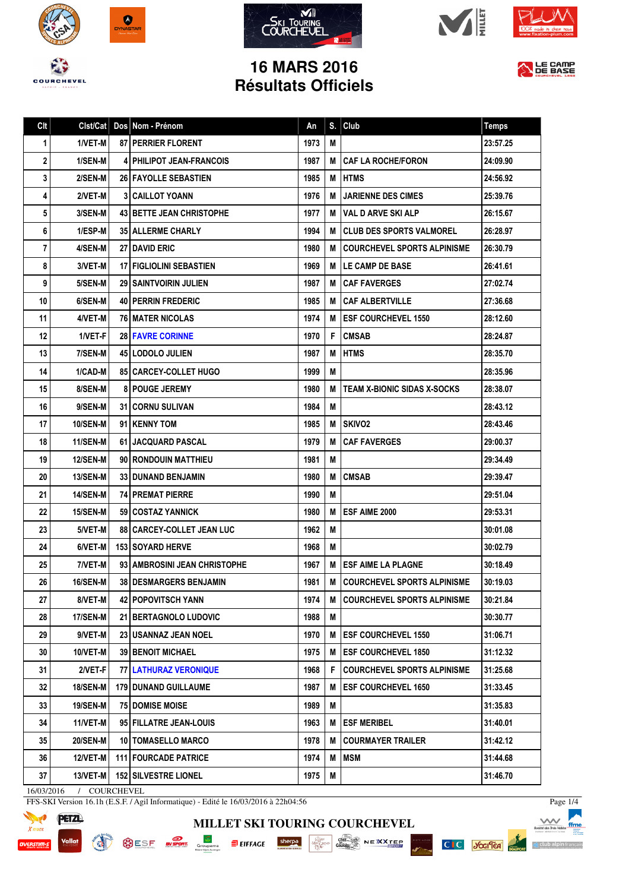









## **16 MARS 2016 Résultats Officiels**

|  | LE CAMP |  |
|--|---------|--|
|  | DE BASE |  |
|  |         |  |

| Clt | Clst/Cat        | Dos Nom - Prénom                  | An   | S. | Club                               | <b>Temps</b> |
|-----|-----------------|-----------------------------------|------|----|------------------------------------|--------------|
| 1   | 1/VET-M         | <b>87   PERRIER FLORENT</b>       | 1973 | M  |                                    | 23:57.25     |
| 2   | 1/SEN-M         | 4   PHILIPOT JEAN-FRANCOIS        | 1987 | м  | <b>CAF LA ROCHE/FORON</b>          | 24:09.90     |
| 3   | 2/SEN-M         | <b>26 FAYOLLE SEBASTIEN</b>       | 1985 | M  | <b>HTMS</b>                        | 24:56.92     |
| 4   | 2/VET-M         | <b>3 CAILLOT YOANN</b>            | 1976 | М  | <b>JARIENNE DES CIMES</b>          | 25:39.76     |
| 5   | <b>3/SEN-M</b>  | <b>43   BETTE JEAN CHRISTOPHE</b> | 1977 | M  | VAL D ARVE SKI ALP                 | 26:15.67     |
| 6   | 1/ESP-M         | <b>35 ALLERME CHARLY</b>          | 1994 | M  | <b>CLUB DES SPORTS VALMOREL</b>    | 26:28.97     |
| 7   | 4/SEN-M         | <b>27 I DAVID ERIC</b>            | 1980 | м  | <b>COURCHEVEL SPORTS ALPINISME</b> | 26:30.79     |
| 8   | 3/VET-M         | <b>17 FIGLIOLINI SEBASTIEN</b>    | 1969 | М  | LE CAMP DE BASE                    | 26:41.61     |
| 9   | 5/SEN-M         | <b>29   SAINTVOIRIN JULIEN</b>    | 1987 | M  | <b>CAF FAVERGES</b>                | 27:02.74     |
| 10  | 6/SEN-M         | <b>40   PERRIN FREDERIC</b>       | 1985 | M  | <b>CAF ALBERTVILLE</b>             | 27:36.68     |
| 11  | 4/VET-M         | <b>76 I MATER NICOLAS</b>         | 1974 | M  | <b>ESF COURCHEVEL 1550</b>         | 28:12.60     |
| 12  | 1/VET-F         | <b>28   FAVRE CORINNE</b>         | 1970 | F  | <b>CMSAB</b>                       | 28:24.87     |
| 13  | 7/SEN-M         | 45   LODOLO JULIEN                | 1987 | M  | <b>HTMS</b>                        | 28:35.70     |
| 14  | 1/CAD-M         | 85   CARCEY-COLLET HUGO           | 1999 | M  |                                    | 28:35.96     |
| 15  | 8/SEN-M         | <b>8 POUGE JEREMY</b>             | 1980 | м  | <b>TEAM X-BIONIC SIDAS X-SOCKS</b> | 28:38.07     |
| 16  | 9/SEN-M         | <b>31 I CORNU SULIVAN</b>         | 1984 | M  |                                    | 28:43.12     |
| 17  | 10/SEN-M        | 91   KENNY TOM                    | 1985 | М  | <b>SKIVO2</b>                      | 28:43.46     |
| 18  | 11/SEN-M        | 61   JACQUARD PASCAL              | 1979 | м  | <b>CAF FAVERGES</b>                | 29:00.37     |
| 19  | <b>12/SEN-M</b> | 90 RONDOUIN MATTHIEU              | 1981 | M  |                                    | 29:34.49     |
| 20  | <b>13/SEN-M</b> | <b>33   DUNAND BENJAMIN</b>       | 1980 | M  | <b>CMSAB</b>                       | 29:39.47     |
| 21  | 14/SEN-M        | <b>74 I PREMAT PIERRE</b>         | 1990 | M  |                                    | 29:51.04     |
| 22  | <b>15/SEN-M</b> | 59   COSTAZ YANNICK               | 1980 | M  | <b>ESF AIME 2000</b>               | 29:53.31     |
| 23  | 5/VET-M         | 88   CARCEY-COLLET JEAN LUC       | 1962 | M  |                                    | 30:01.08     |
| 24  | 6/VET-M         | <b>153 SOYARD HERVE</b>           | 1968 | M  |                                    | 30:02.79     |
| 25  | 7/VET-M         | 93   AMBROSINI JEAN CHRISTOPHE    | 1967 | M  | <b>ESF AIME LA PLAGNE</b>          | 30:18.49     |
| 26  | <b>16/SEN-M</b> | <b>38 I DESMARGERS BENJAMIN</b>   | 1981 | м  | <b>COURCHEVEL SPORTS ALPINISME</b> | 30:19.03     |
| 27  | 8/VET-M         | <b>42   POPOVITSCH YANN</b>       | 1974 | м  | <b>COURCHEVEL SPORTS ALPINISME</b> | 30:21.84     |
| 28  | 17/SEN-M        | 21 BERTAGNOLO LUDOVIC             | 1988 | M  |                                    | 30:30.77     |
| 29  | 9/VET-M         | <b>23   USANNAZ JEAN NOEL</b>     | 1970 | M  | <b>ESF COURCHEVEL 1550</b>         | 31:06.71     |
| 30  | 10/VET-M        | <b>39 BENOIT MICHAEL</b>          | 1975 | M  | <b>ESF COURCHEVEL 1850</b>         | 31:12.32     |
| 31  | 2/VET-F         | <b>77 LATHURAZ VERONIQUE</b>      | 1968 | F. | <b>COURCHEVEL SPORTS ALPINISME</b> | 31:25.68     |
| 32  | <b>18/SEN-M</b> | <b>179   DUNAND GUILLAUME</b>     | 1987 | M  | <b>ESF COURCHEVEL 1650</b>         | 31:33.45     |
| 33  | <b>19/SEN-M</b> | <b>75 I DOMISE MOISE</b>          | 1989 | M  |                                    | 31:35.83     |
| 34  | 11/VET-M        | 95 FILLATRE JEAN-LOUIS            | 1963 | M  | <b>ESF MERIBEL</b>                 | 31:40.01     |
| 35  | 20/SEN-M        | 10   TOMASELLO MARCO              | 1978 | M  | <b>COURMAYER TRAILER</b>           | 31:42.12     |
| 36  | 12/VET-M        | <b>111 FOURCADE PATRICE</b>       | 1974 | M  | <b>MSM</b>                         | 31:44.68     |
| 37  | 13/VET-M        | <b>152 SILVESTRE LIONEL</b>       | 1975 | M  |                                    | 31:46.70     |

**MILLET SKI TOURING COURCHEVEL**

SESE **EXAMPLE COMPANY SHOP** SHOP SHOP COMPANY PRESERVED AND DESCRIPTION OF A RESERVED ON A RESERVED ON A RESERVED ON A RESERVED ON A RESERVED ON A RESERVED ON A RESERVED ON A RESERVED ON A RESERVED ON A RESERVED ON A RESER

16/03/2016 / COURCHEVEL

FFS-SKI Version 16.1h (E.S.F. / Agil Informatique) - Edité le 16/03/2016 à 22h04:56





PISTE NOI

Page 1/4

△ club alpin f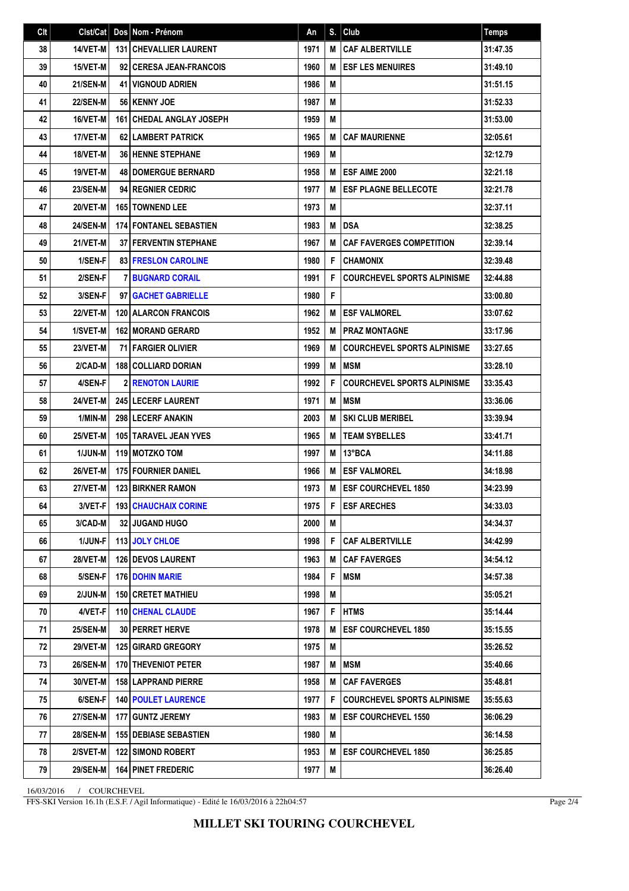| Clt | Clst/Cat        | Dos Nom - Prénom                  | An   | S. | Club                               | <b>Temps</b> |
|-----|-----------------|-----------------------------------|------|----|------------------------------------|--------------|
| 38  | <b>14/VET-M</b> | <b>131   CHEVALLIER LAURENT</b>   | 1971 | M  | <b>CAF ALBERTVILLE</b>             | 31:47.35     |
| 39  | 15/VET-M        | 92 CERESA JEAN-FRANCOIS           | 1960 | M  | <b>ESF LES MENUIRES</b>            | 31:49.10     |
| 40  | <b>21/SEN-M</b> | <b>41 I VIGNOUD ADRIEN</b>        | 1986 | M  |                                    | 31:51.15     |
| 41  | <b>22/SEN-M</b> | 56 KENNY JOE                      | 1987 | M  |                                    | 31:52.33     |
| 42  | 16/VET-M        | <b>161   CHEDAL ANGLAY JOSEPH</b> | 1959 | M  |                                    | 31:53.00     |
| 43  | 17/VET-M        | <b>62 LAMBERT PATRICK</b>         | 1965 | M  | <b>CAF MAURIENNE</b>               | 32:05.61     |
| 44  | 18/VET-M        | <b>36 HENNE STEPHANE</b>          | 1969 | M  |                                    | 32:12.79     |
| 45  | 19/VET-M        | <b>48   DOMERGUE BERNARD</b>      | 1958 | M  | <b>ESF AIME 2000</b>               | 32:21.18     |
| 46  | <b>23/SEN-M</b> | 94 REGNIER CEDRIC                 | 1977 | M  | <b>ESF PLAGNE BELLECOTE</b>        | 32:21.78     |
| 47  | 20/VET-M        | 165 TOWNEND LEE                   | 1973 | M  |                                    | 32:37.11     |
| 48  | <b>24/SEN-M</b> | <b>174 FONTANEL SEBASTIEN</b>     | 1983 | M  | <b>DSA</b>                         | 32:38.25     |
| 49  | 21/VET-M        | <b>37 FERVENTIN STEPHANE</b>      | 1967 | M  | <b>CAF FAVERGES COMPETITION</b>    | 32:39.14     |
| 50  | 1/SEN-F         | <b>83 FRESLON CAROLINE</b>        | 1980 | F  | <b>CHAMONIX</b>                    | 32:39.48     |
| 51  | 2/SEN-F         | <b>7 BUGNARD CORAIL</b>           | 1991 | F  | <b>COURCHEVEL SPORTS ALPINISME</b> | 32:44.88     |
| 52  | 3/SEN-F         | 97 GACHET GABRIELLE               | 1980 | F  |                                    | 33:00.80     |
| 53  | <b>22/VET-M</b> | <b>120   ALARCON FRANCOIS</b>     | 1962 | M  | <b>ESF VALMOREL</b>                | 33:07.62     |
| 54  | 1/SVET-M        | <b>162   MORAND GERARD</b>        | 1952 | M  | <b>PRAZ MONTAGNE</b>               | 33:17.96     |
| 55  | 23/VET-M        | <b>71 FARGIER OLIVIER</b>         | 1969 | M  | <b>COURCHEVEL SPORTS ALPINISME</b> | 33:27.65     |
| 56  | 2/CAD-M         | <b>188 COLLIARD DORIAN</b>        | 1999 | M  | <b>MSM</b>                         | 33:28.10     |
| 57  | 4/SEN-F         | <b>2 RENOTON LAURIE</b>           | 1992 | F  | <b>COURCHEVEL SPORTS ALPINISME</b> | 33:35.43     |
| 58  | 24/VET-M        | <b>245 LECERF LAURENT</b>         | 1971 | M  | <b>MSM</b>                         | 33:36.06     |
| 59  | 1/MIN-M         | 298 LECERF ANAKIN                 | 2003 | M  | <b>SKI CLUB MERIBEL</b>            | 33:39.94     |
| 60  | <b>25/VET-M</b> | 105 TARAVEL JEAN YVES             | 1965 | M  | <b>TEAM SYBELLES</b>               | 33:41.71     |
| 61  | <b>1/JUN-M</b>  | 119 MOTZKO TOM                    | 1997 | M  | 13°BCA                             | 34:11.88     |
| 62  | 26/VET-M        | <b>175 FOURNIER DANIEL</b>        | 1966 | M  | <b>ESF VALMOREL</b>                | 34:18.98     |
| 63  | 27/VET-M        | <b>123 BIRKNER RAMON</b>          | 1973 | M  | <b>ESF COURCHEVEL 1850</b>         | 34:23.99     |
| 64  | $3/VET-F$       | <b>193 CHAUCHAIX CORINE</b>       | 1975 | F  | <b>ESF ARECHES</b>                 | 34:33.03     |
| 65  | 3/CAD-M         | 32 JUGAND HUGO                    | 2000 | М  |                                    | 34:34.37     |
| 66  | 1/JUN-F         | 113 JOLY CHLOE                    | 1998 | F  | <b>CAF ALBERTVILLE</b>             | 34:42.99     |
| 67  | <b>28/VET-M</b> | <b>126   DEVOS LAURENT</b>        | 1963 | M  | <b>CAF FAVERGES</b>                | 34:54.12     |
| 68  | 5/SEN-F         | <b>176 DOHIN MARIE</b>            | 1984 | F  | <b>MSM</b>                         | 34:57.38     |
| 69  | 2/JUN-M         | <b>150 CRETET MATHIEU</b>         | 1998 | M  |                                    | 35:05.21     |
| 70  | 4/VET-F         | <b>110 CHENAL CLAUDE</b>          | 1967 | F  | <b>HTMS</b>                        | 35:14.44     |
| 71  | <b>25/SEN-M</b> | 30 PERRET HERVE                   | 1978 | M  | <b>ESF COURCHEVEL 1850</b>         | 35:15.55     |
| 72  | <b>29/VET-M</b> | <b>125 GIRARD GREGORY</b>         | 1975 | M  |                                    | 35:26.52     |
| 73  | 26/SEN-M        | 170 THEVENIOT PETER               | 1987 | Μ  | <b>MSM</b>                         | 35:40.66     |
| 74  | 30/VET-M        | <b>158 LAPPRAND PIERRE</b>        | 1958 | M  | <b>CAF FAVERGES</b>                | 35:48.81     |
| 75  | 6/SEN-F         | <b>140   POULET LAURENCE</b>      | 1977 | F  | COURCHEVEL SPORTS ALPINISME        | 35:55.63     |
| 76  | <b>27/SEN-M</b> | 177   GUNTZ JEREMY                | 1983 | M  | <b>ESF COURCHEVEL 1550</b>         | 36:06.29     |
| 77  | <b>28/SEN-M</b> | <b>155 DEBIASE SEBASTIEN</b>      | 1980 | M  |                                    | 36:14.58     |
| 78  | 2/SVET-M        | <b>122   SIMOND ROBERT</b>        | 1953 | M  | <b>IESF COURCHEVEL 1850</b>        | 36:25.85     |
| 79  | <b>29/SEN-M</b> | <b>164 PINET FREDERIC</b>         | 1977 | M  |                                    | 36:26.40     |

16/03/2016 / COURCHEVEL

FFS-SKI Version 16.1h (E.S.F. / Agil Informatique) - Edité le 16/03/2016 à 22h04:57

Page 2/4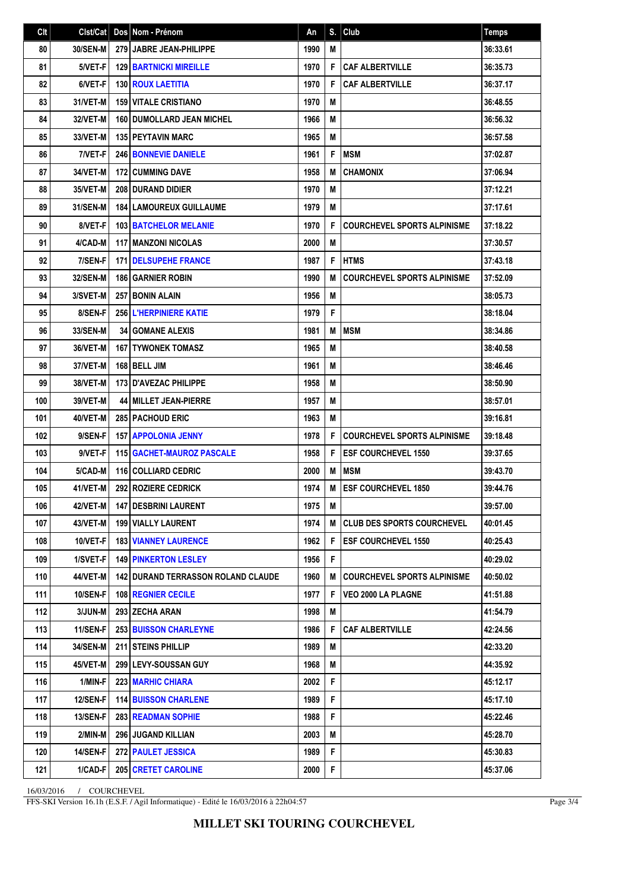| Clt | Clst/Cat        | Dos Nom - Prénom                          | An   | S. | Club                               | <b>Temps</b> |
|-----|-----------------|-------------------------------------------|------|----|------------------------------------|--------------|
| 80  | 30/SEN-M        | 279 JABRE JEAN-PHILIPPE                   | 1990 | M  |                                    | 36:33.61     |
| 81  | 5/VET-F         | <b>129 BARTNICKI MIREILLE</b>             | 1970 | F  | <b>CAF ALBERTVILLE</b>             | 36:35.73     |
| 82  | 6/VET-F         | <b>130 ROUX LAETITIA</b>                  | 1970 | F  | <b>CAF ALBERTVILLE</b>             | 36:37.17     |
| 83  | 31/VET-M        | <b>159 VITALE CRISTIANO</b>               | 1970 | M  |                                    | 36:48.55     |
| 84  | 32/VET-M        | <b>160 DUMOLLARD JEAN MICHEL</b>          | 1966 | M  |                                    | 36:56.32     |
| 85  | 33/VET-M        | <b>135 PEYTAVIN MARC</b>                  | 1965 | M  |                                    | 36:57.58     |
| 86  | 7/VET-F         | <b>246 BONNEVIE DANIELE</b>               | 1961 | F  | <b>MSM</b>                         | 37:02.87     |
| 87  | 34/VET-M        | <b>172 CUMMING DAVE</b>                   | 1958 | M  | <b>CHAMONIX</b>                    | 37:06.94     |
| 88  | 35/VET-M        | <b>208 DURAND DIDIER</b>                  | 1970 | M  |                                    | 37:12.21     |
| 89  | <b>31/SEN-M</b> | <b>184   LAMOUREUX GUILLAUME</b>          | 1979 | M  |                                    | 37:17.61     |
| 90  | 8/VET-F         | <b>103 BATCHELOR MELANIE</b>              | 1970 | F  | <b>COURCHEVEL SPORTS ALPINISME</b> | 37:18.22     |
| 91  | 4/CAD-M         | <b>117 MANZONI NICOLAS</b>                | 2000 | M  |                                    | 37:30.57     |
| 92  | 7/SEN-F         | <b>171 IDELSUPEHE FRANCE</b>              | 1987 | F  | <b>HTMS</b>                        | 37:43.18     |
| 93  | 32/SEN-M        | <b>186 GARNIER ROBIN</b>                  | 1990 | M  | <b>COURCHEVEL SPORTS ALPINISME</b> | 37:52.09     |
| 94  | 3/SVET-M        | <b>257 BONIN ALAIN</b>                    | 1956 | M  |                                    | 38:05.73     |
| 95  | 8/SEN-F         | 256 L'HERPINIERE KATIE                    | 1979 | F  |                                    | 38:18.04     |
| 96  | 33/SEN-M        | <b>34 GOMANE ALEXIS</b>                   | 1981 | M  | <b>IMSM</b>                        | 38:34.86     |
| 97  | 36/VET-M        | <b>167 TYWONEK TOMASZ</b>                 | 1965 | M  |                                    | 38:40.58     |
| 98  | 37/VET-M        | 168 BELL JIM                              | 1961 | M  |                                    | 38:46.46     |
| 99  | 38/VET-M        | <b>173 D'AVEZAC PHILIPPE</b>              | 1958 | M  |                                    | 38:50.90     |
| 100 | 39/VET-M        | <b>44 MILLET JEAN-PIERRE</b>              | 1957 | M  |                                    | 38:57.01     |
| 101 | 40/VET-M        | <b>285   PACHOUD ERIC</b>                 | 1963 | M  |                                    | 39:16.81     |
| 102 | 9/SEN-F         | <b>157 APPOLONIA JENNY</b>                | 1978 | F  | <b>COURCHEVEL SPORTS ALPINISME</b> | 39:18.48     |
| 103 | 9/VET-F         | <b>115   GACHET-MAUROZ PASCALE</b>        | 1958 | F  | <b>ESF COURCHEVEL 1550</b>         | 39:37.65     |
| 104 | 5/CAD-M         | <b>116 COLLIARD CEDRIC</b>                | 2000 | M  | <b>IMSM</b>                        | 39:43.70     |
| 105 | 41/VET-M        | 292 ROZIERE CEDRICK                       | 1974 | M  | <b>ESF COURCHEVEL 1850</b>         | 39:44.76     |
| 106 | 42/VET-M        | 147 DESBRINI LAURENT                      | 1975 | М  |                                    | 39:57.00     |
| 107 | 43/VET-M        | 199   VIALLY LAURENT                      | 1974 | M  | <b>ICLUB DES SPORTS COURCHEVEL</b> | 40:01.45     |
| 108 | 10/VET-F        | <b>183 VIANNEY LAURENCE</b>               | 1962 | F  | <b>ESF COURCHEVEL 1550</b>         | 40:25.43     |
| 109 | 1/SVET-F        | <b>149 PINKERTON LESLEY</b>               | 1956 | F  |                                    | 40:29.02     |
| 110 | 44/VET-M        | <b>142 DURAND TERRASSON ROLAND CLAUDE</b> | 1960 | M  | <b>COURCHEVEL SPORTS ALPINISME</b> | 40:50.02     |
| 111 | <b>10/SEN-F</b> | <b>108 REGNIER CECILE</b>                 | 1977 | F  | <b>VEO 2000 LA PLAGNE</b>          | 41:51.88     |
| 112 | 3/JUN-M         | 293 ZECHA ARAN                            | 1998 | M  |                                    | 41:54.79     |
| 113 | 11/SEN-F        | 253 BUISSON CHARLEYNE                     | 1986 | F  | <b>CAF ALBERTVILLE</b>             | 42:24.56     |
| 114 | 34/SEN-M        | 211 STEINS PHILLIP                        | 1989 | M  |                                    | 42:33.20     |
| 115 | 45/VET-M        | 299 LEVY-SOUSSAN GUY                      | 1968 | M  |                                    | 44:35.92     |
| 116 | 1/MIN-F         | 223 MARHIC CHIARA                         | 2002 | F  |                                    | 45:12.17     |
| 117 | <b>12/SEN-F</b> | <b>114 BUISSON CHARLENE</b>               | 1989 | F  |                                    | 45:17.10     |
| 118 | 13/SEN-F        | <b>283 READMAN SOPHIE</b>                 | 1988 | F  |                                    | 45:22.46     |
| 119 | 2/MIN-M         | <b>296 JUGAND KILLIAN</b>                 | 2003 | M  |                                    | 45:28.70     |
| 120 | <b>14/SEN-F</b> | 272 PAULET JESSICA                        | 1989 | F  |                                    | 45:30.83     |
| 121 | 1/CAD-F         | <b>205 CRETET CAROLINE</b>                | 2000 | F  |                                    | 45:37.06     |

16/03/2016 / COURCHEVEL

FFS-SKI Version 16.1h (E.S.F. / Agil Informatique) - Edité le 16/03/2016 à 22h04:57

Page 3/4